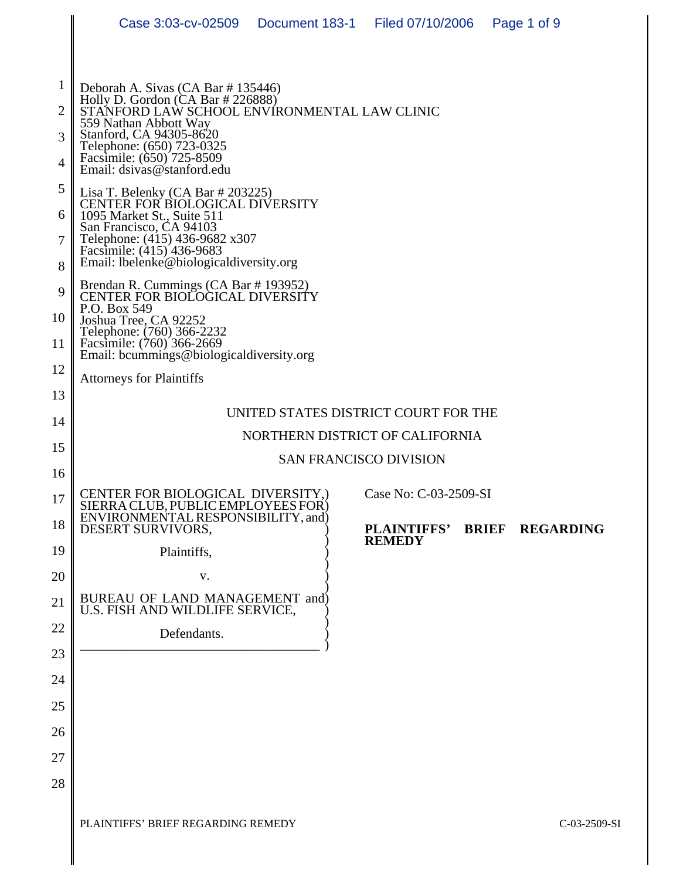|                | Case 3:03-cv-02509    Document 183-1    Filed 07/10/2006                                                                                                                                                                        |  |                       |              | Page 1 of 9      |  |  |
|----------------|---------------------------------------------------------------------------------------------------------------------------------------------------------------------------------------------------------------------------------|--|-----------------------|--------------|------------------|--|--|
|                |                                                                                                                                                                                                                                 |  |                       |              |                  |  |  |
| 1              | Deborah A. Sivas (CA Bar #135446)                                                                                                                                                                                               |  |                       |              |                  |  |  |
| $\overline{2}$ | Holly D. Gordon $(CA Bar # 226888)$<br>STANFORD LAW SCHOOL ENVÍRONMENTAL LAW CLINIC<br>559 Nathan Abbott Way<br>Stanford, CA 94305-8620<br>Telephone: (650) 723-0325<br>Facsimile: (650) 725-8509<br>Email: dsivas@stanford.edu |  |                       |              |                  |  |  |
| 3              |                                                                                                                                                                                                                                 |  |                       |              |                  |  |  |
| $\overline{4}$ |                                                                                                                                                                                                                                 |  |                       |              |                  |  |  |
| 5              | Lisa T. Belenky (CA Bar # 203225)<br>CENTER FOR BIOLOGICAL DIVERSITY                                                                                                                                                            |  |                       |              |                  |  |  |
| 6              | 1095 Market St., Suite 511<br>San Francisco, CA 94103                                                                                                                                                                           |  |                       |              |                  |  |  |
| $\overline{7}$ | Telephone: (415) 436-9682 x307<br>Facsimile: (415) 436-9683                                                                                                                                                                     |  |                       |              |                  |  |  |
| 8<br>9         | Email: lbelenke@biologicaldiversity.org<br>Brendan R. Cummings (CA Bar # 193952)                                                                                                                                                |  |                       |              |                  |  |  |
| 10             | CENTER FOR BIOLOGICAL DIVERSITY<br>P.O. Box 549<br>Joshua Tree, CA 92252<br>Telephone: (760) 366-2232<br>Facsimile: (760) 366-2669<br>Email: bcummings@biologicaldiversity.org                                                  |  |                       |              |                  |  |  |
| 11             |                                                                                                                                                                                                                                 |  |                       |              |                  |  |  |
| 12             |                                                                                                                                                                                                                                 |  |                       |              |                  |  |  |
| 13             | <b>Attorneys for Plaintiffs</b>                                                                                                                                                                                                 |  |                       |              |                  |  |  |
| 14             | UNITED STATES DISTRICT COURT FOR THE                                                                                                                                                                                            |  |                       |              |                  |  |  |
| 15             | NORTHERN DISTRICT OF CALIFORNIA                                                                                                                                                                                                 |  |                       |              |                  |  |  |
| 16             | <b>SAN FRANCISCO DIVISION</b>                                                                                                                                                                                                   |  |                       |              |                  |  |  |
| 17             | CENTER FOR BIOLOGICAL DIVERSITY,)<br>SIERRA CLUB. PUBLIC EMPLOYEES FOR)                                                                                                                                                         |  | Case No: C-03-2509-SI |              |                  |  |  |
| 18             | ENVIRONMENTAL RESPONSIBILITY, and<br>DESERT SURVIVORS,                                                                                                                                                                          |  | <b>PLAINTIFFS'</b>    | <b>BRIEF</b> | <b>REGARDING</b> |  |  |
| 19             | Plaintiffs,                                                                                                                                                                                                                     |  | <b>REMEDY</b>         |              |                  |  |  |
| 20             | V.                                                                                                                                                                                                                              |  |                       |              |                  |  |  |
| 21             | BUREAU OF LAND MANAGEMENT and)<br>U.S. FISH AND WILDLIFE SERVICE,                                                                                                                                                               |  |                       |              |                  |  |  |
| 22             | Defendants.                                                                                                                                                                                                                     |  |                       |              |                  |  |  |
| 23             |                                                                                                                                                                                                                                 |  |                       |              |                  |  |  |
| 24             |                                                                                                                                                                                                                                 |  |                       |              |                  |  |  |
| 25             |                                                                                                                                                                                                                                 |  |                       |              |                  |  |  |
| 26             |                                                                                                                                                                                                                                 |  |                       |              |                  |  |  |
| 27             |                                                                                                                                                                                                                                 |  |                       |              |                  |  |  |
| 28             |                                                                                                                                                                                                                                 |  |                       |              |                  |  |  |
|                |                                                                                                                                                                                                                                 |  |                       |              |                  |  |  |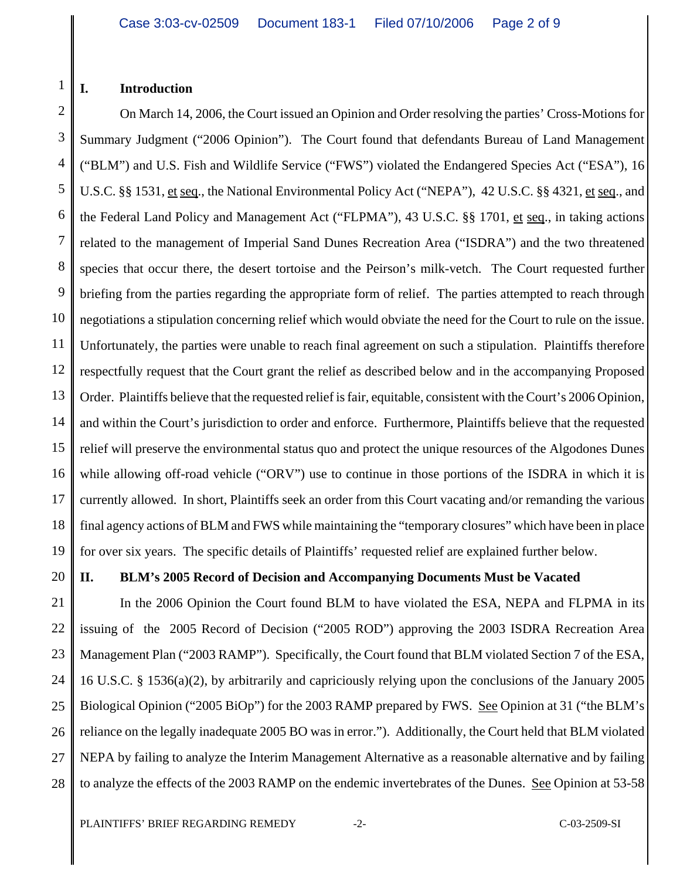#### 1 **I. Introduction**

2 3 4 5 6 7 8 9 10 11 12 13 14 15 16 17 18 19 On March 14, 2006, the Court issued an Opinion and Order resolving the parties' Cross-Motions for Summary Judgment ("2006 Opinion"). The Court found that defendants Bureau of Land Management ("BLM") and U.S. Fish and Wildlife Service ("FWS") violated the Endangered Species Act ("ESA"), 16 U.S.C. §§ 1531, et seq., the National Environmental Policy Act ("NEPA"), 42 U.S.C. §§ 4321, et seq., and the Federal Land Policy and Management Act ("FLPMA"), 43 U.S.C. §§ 1701, et seq., in taking actions related to the management of Imperial Sand Dunes Recreation Area ("ISDRA") and the two threatened species that occur there, the desert tortoise and the Peirson's milk-vetch. The Court requested further briefing from the parties regarding the appropriate form of relief. The parties attempted to reach through negotiations a stipulation concerning relief which would obviate the need for the Court to rule on the issue. Unfortunately, the parties were unable to reach final agreement on such a stipulation. Plaintiffs therefore respectfully request that the Court grant the relief as described below and in the accompanying Proposed Order. Plaintiffs believe that the requested relief is fair, equitable, consistent with the Court's 2006 Opinion, and within the Court's jurisdiction to order and enforce. Furthermore, Plaintiffs believe that the requested relief will preserve the environmental status quo and protect the unique resources of the Algodones Dunes while allowing off-road vehicle ("ORV") use to continue in those portions of the ISDRA in which it is currently allowed. In short, Plaintiffs seek an order from this Court vacating and/or remanding the various final agency actions of BLM and FWS while maintaining the "temporary closures" which have been in place for over six years. The specific details of Plaintiffs' requested relief are explained further below.

20

### **II. BLM's 2005 Record of Decision and Accompanying Documents Must be Vacated**

21 22 23 24 25 26 27 28 In the 2006 Opinion the Court found BLM to have violated the ESA, NEPA and FLPMA in its issuing of the 2005 Record of Decision ("2005 ROD") approving the 2003 ISDRA Recreation Area Management Plan ("2003 RAMP"). Specifically, the Court found that BLM violated Section 7 of the ESA, 16 U.S.C. § 1536(a)(2), by arbitrarily and capriciously relying upon the conclusions of the January 2005 Biological Opinion ("2005 BiOp") for the 2003 RAMP prepared by FWS. See Opinion at 31 ("the BLM's reliance on the legally inadequate 2005 BO was in error."). Additionally, the Court held that BLM violated NEPA by failing to analyze the Interim Management Alternative as a reasonable alternative and by failing to analyze the effects of the 2003 RAMP on the endemic invertebrates of the Dunes. See Opinion at 53-58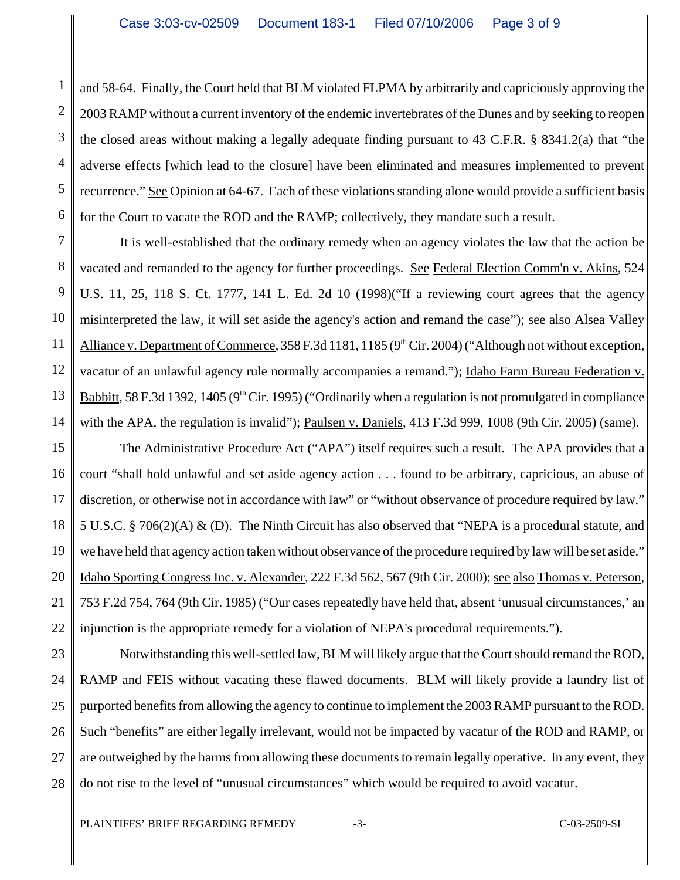1 2 3 4 5 6 and 58-64. Finally, the Court held that BLM violated FLPMA by arbitrarily and capriciously approving the 2003 RAMP without a current inventory of the endemic invertebrates of the Dunes and by seeking to reopen the closed areas without making a legally adequate finding pursuant to 43 C.F.R. § 8341.2(a) that "the adverse effects [which lead to the closure] have been eliminated and measures implemented to prevent recurrence." See Opinion at 64-67. Each of these violations standing alone would provide a sufficient basis for the Court to vacate the ROD and the RAMP; collectively, they mandate such a result.

7 8 9 10 11 12 13 14 It is well-established that the ordinary remedy when an agency violates the law that the action be vacated and remanded to the agency for further proceedings. See Federal Election Comm'n v. Akins, 524 U.S. 11, 25, 118 S. Ct. 1777, 141 L. Ed. 2d 10 (1998)("If a reviewing court agrees that the agency misinterpreted the law, it will set aside the agency's action and remand the case"); see also Alsea Valley Alliance v. Department of Commerce,  $358$  F.3d 1181, 1185 (9<sup>th</sup> Cir. 2004) ("Although not without exception, vacatur of an unlawful agency rule normally accompanies a remand."); Idaho Farm Bureau Federation v. Babbitt, 58 F.3d 1392, 1405 ( $9<sup>th</sup>$  Cir. 1995) ("Ordinarily when a regulation is not promulgated in compliance with the APA, the regulation is invalid"); Paulsen v. Daniels, 413 F.3d 999, 1008 (9th Cir. 2005) (same).

15 16 17 18 19 20 21 22 The Administrative Procedure Act ("APA") itself requires such a result. The APA provides that a court "shall hold unlawful and set aside agency action . . . found to be arbitrary, capricious, an abuse of discretion, or otherwise not in accordance with law" or "without observance of procedure required by law." 5 U.S.C. § 706(2)(A) & (D). The Ninth Circuit has also observed that "NEPA is a procedural statute, and we have held that agency action taken without observance of the procedure required by law will be set aside." Idaho Sporting Congress Inc. v. Alexander, 222 F.3d 562, 567 (9th Cir. 2000); see also Thomas v. Peterson, 753 F.2d 754, 764 (9th Cir. 1985) ("Our cases repeatedly have held that, absent 'unusual circumstances,' an injunction is the appropriate remedy for a violation of NEPA's procedural requirements.").

23 24 25 26 27 28 Notwithstanding this well-settled law, BLM will likely argue that the Court should remand the ROD, RAMP and FEIS without vacating these flawed documents. BLM will likely provide a laundry list of purported benefits from allowing the agency to continue to implement the 2003 RAMP pursuant to the ROD. Such "benefits" are either legally irrelevant, would not be impacted by vacatur of the ROD and RAMP, or are outweighed by the harms from allowing these documents to remain legally operative. In any event, they do not rise to the level of "unusual circumstances" which would be required to avoid vacatur.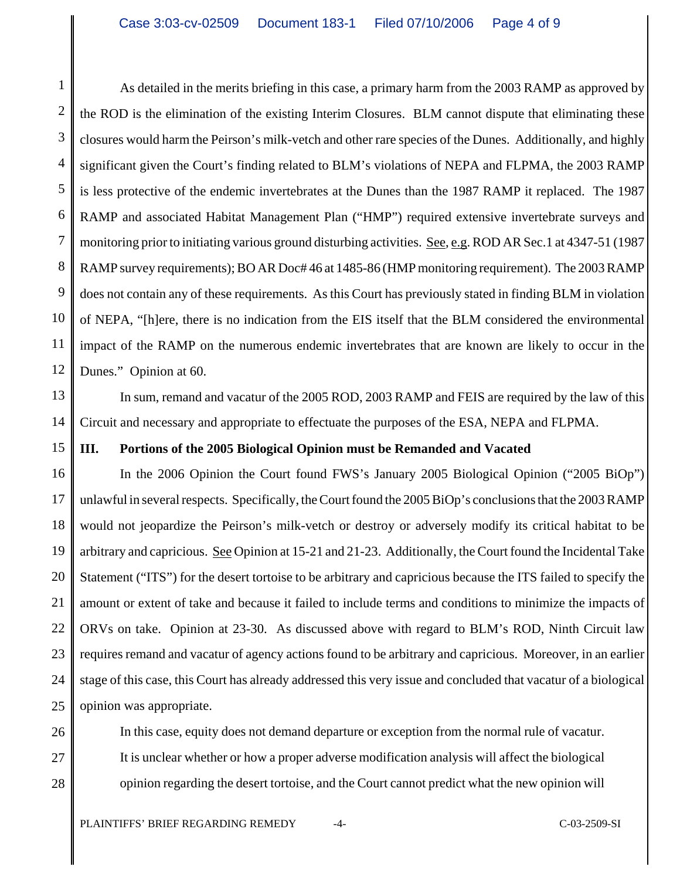1 2 3 4 5 6 7 8 9 10 11 12 As detailed in the merits briefing in this case, a primary harm from the 2003 RAMP as approved by the ROD is the elimination of the existing Interim Closures. BLM cannot dispute that eliminating these closures would harm the Peirson's milk-vetch and other rare species of the Dunes. Additionally, and highly significant given the Court's finding related to BLM's violations of NEPA and FLPMA, the 2003 RAMP is less protective of the endemic invertebrates at the Dunes than the 1987 RAMP it replaced. The 1987 RAMP and associated Habitat Management Plan ("HMP") required extensive invertebrate surveys and monitoring prior to initiating various ground disturbing activities. See, e.g. ROD AR Sec.1 at 4347-51 (1987) RAMP survey requirements); BO AR Doc# 46 at 1485-86 (HMP monitoring requirement). The 2003 RAMP does not contain any of these requirements. As this Court has previously stated in finding BLM in violation of NEPA, "[h]ere, there is no indication from the EIS itself that the BLM considered the environmental impact of the RAMP on the numerous endemic invertebrates that are known are likely to occur in the Dunes." Opinion at 60.

13 14 In sum, remand and vacatur of the 2005 ROD, 2003 RAMP and FEIS are required by the law of this Circuit and necessary and appropriate to effectuate the purposes of the ESA, NEPA and FLPMA.

#### 15 **III. Portions of the 2005 Biological Opinion must be Remanded and Vacated**

16 17 18 19 20 21 22 23 24 25 In the 2006 Opinion the Court found FWS's January 2005 Biological Opinion ("2005 BiOp") unlawful in several respects. Specifically, the Court found the 2005 BiOp's conclusions that the 2003 RAMP would not jeopardize the Peirson's milk-vetch or destroy or adversely modify its critical habitat to be arbitrary and capricious. See Opinion at 15-21 and 21-23. Additionally, the Court found the Incidental Take Statement ("ITS") for the desert tortoise to be arbitrary and capricious because the ITS failed to specify the amount or extent of take and because it failed to include terms and conditions to minimize the impacts of ORVs on take. Opinion at 23-30. As discussed above with regard to BLM's ROD, Ninth Circuit law requires remand and vacatur of agency actions found to be arbitrary and capricious. Moreover, in an earlier stage of this case, this Court has already addressed this very issue and concluded that vacatur of a biological opinion was appropriate.

26 27

28

In this case, equity does not demand departure or exception from the normal rule of vacatur. It is unclear whether or how a proper adverse modification analysis will affect the biological opinion regarding the desert tortoise, and the Court cannot predict what the new opinion will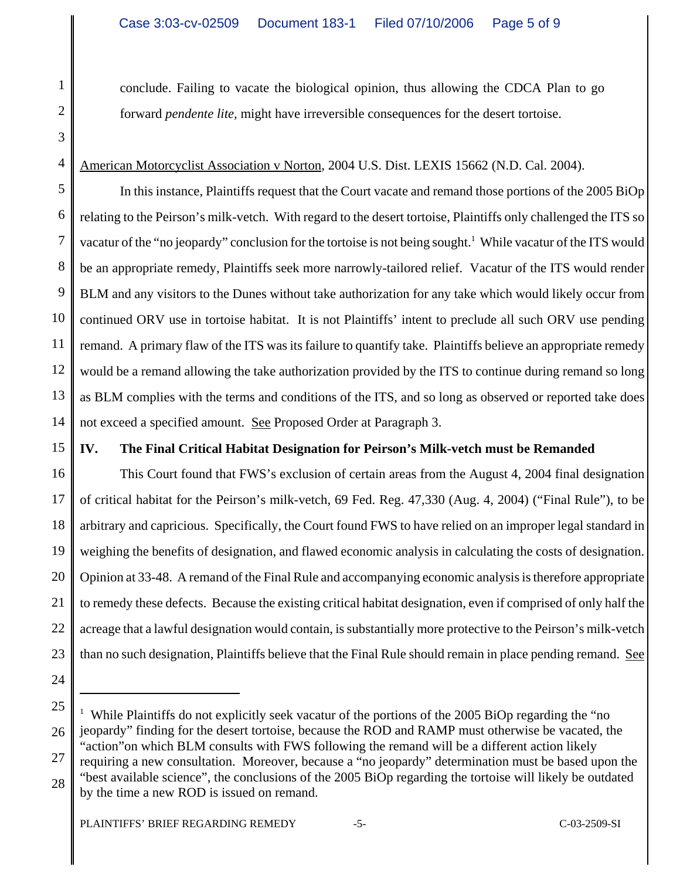conclude. Failing to vacate the biological opinion, thus allowing the CDCA Plan to go forward *pendente lite,* might have irreversible consequences for the desert tortoise.

2 3 4

1

## American Motorcyclist Association v Norton, 2004 U.S. Dist. LEXIS 15662 (N.D. Cal. 2004).

5 6 7 8 9 10 11 12 13 14 In this instance, Plaintiffs request that the Court vacate and remand those portions of the 2005 BiOp relating to the Peirson's milk-vetch. With regard to the desert tortoise, Plaintiffs only challenged the ITS so vacatur of the "no jeopardy" conclusion for the tortoise is not being sought.<sup>1</sup> While vacatur of the ITS would be an appropriate remedy, Plaintiffs seek more narrowly-tailored relief. Vacatur of the ITS would render BLM and any visitors to the Dunes without take authorization for any take which would likely occur from continued ORV use in tortoise habitat. It is not Plaintiffs' intent to preclude all such ORV use pending remand. A primary flaw of the ITS was its failure to quantify take. Plaintiffs believe an appropriate remedy would be a remand allowing the take authorization provided by the ITS to continue during remand so long as BLM complies with the terms and conditions of the ITS, and so long as observed or reported take does not exceed a specified amount. See Proposed Order at Paragraph 3.

### 15

## **IV. The Final Critical Habitat Designation for Peirson's Milk-vetch must be Remanded**

16 17 18 19 20 21 22 23 This Court found that FWS's exclusion of certain areas from the August 4, 2004 final designation of critical habitat for the Peirson's milk-vetch, 69 Fed. Reg. 47,330 (Aug. 4, 2004) ("Final Rule"), to be arbitrary and capricious. Specifically, the Court found FWS to have relied on an improper legal standard in weighing the benefits of designation, and flawed economic analysis in calculating the costs of designation. Opinion at 33-48. A remand of the Final Rule and accompanying economic analysis is therefore appropriate to remedy these defects. Because the existing critical habitat designation, even if comprised of only half the acreage that a lawful designation would contain, is substantially more protective to the Peirson's milk-vetch than no such designation, Plaintiffs believe that the Final Rule should remain in place pending remand. See

24

25 26 27 <sup>1</sup> While Plaintiffs do not explicitly seek vacatur of the portions of the 2005 BiOp regarding the "no jeopardy" finding for the desert tortoise, because the ROD and RAMP must otherwise be vacated, the "action"on which BLM consults with FWS following the remand will be a different action likely requiring a new consultation. Moreover, because a "no jeopardy" determination must be based upon the

28 "best available science", the conclusions of the 2005 BiOp regarding the tortoise will likely be outdated by the time a new ROD is issued on remand.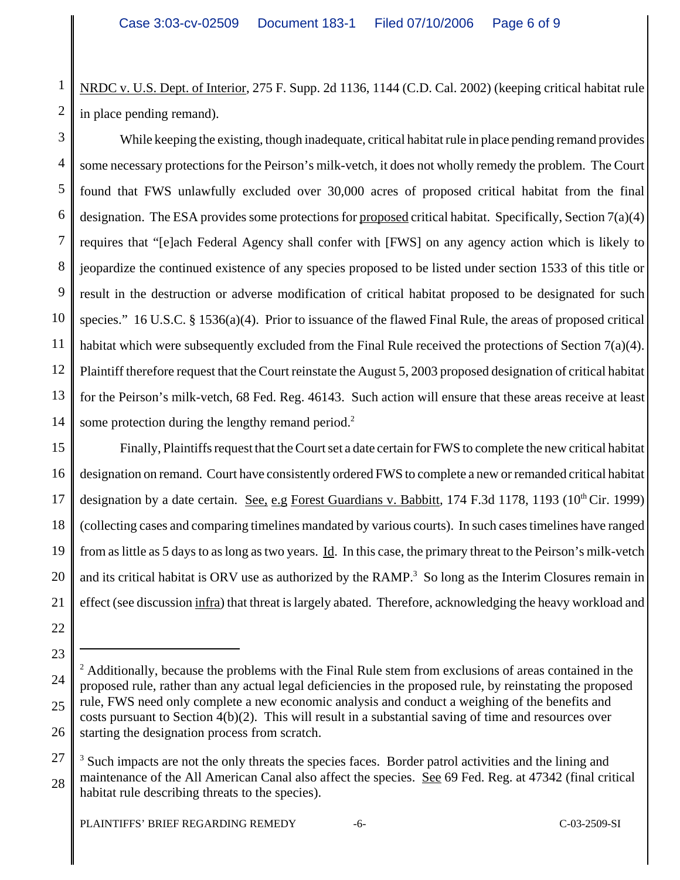1 2 NRDC v. U.S. Dept. of Interior, 275 F. Supp. 2d 1136, 1144 (C.D. Cal. 2002) (keeping critical habitat rule in place pending remand).

3 4 5 6 7 8 9 10 11 12 13 14 While keeping the existing, though inadequate, critical habitat rule in place pending remand provides some necessary protections for the Peirson's milk-vetch, it does not wholly remedy the problem. The Court found that FWS unlawfully excluded over 30,000 acres of proposed critical habitat from the final designation. The ESA provides some protections for proposed critical habitat. Specifically, Section 7(a)(4) requires that "[e]ach Federal Agency shall confer with [FWS] on any agency action which is likely to jeopardize the continued existence of any species proposed to be listed under section 1533 of this title or result in the destruction or adverse modification of critical habitat proposed to be designated for such species." 16 U.S.C. § 1536(a)(4). Prior to issuance of the flawed Final Rule, the areas of proposed critical habitat which were subsequently excluded from the Final Rule received the protections of Section 7(a)(4). Plaintiff therefore request that the Court reinstate the August 5, 2003 proposed designation of critical habitat for the Peirson's milk-vetch, 68 Fed. Reg. 46143. Such action will ensure that these areas receive at least some protection during the lengthy remand period.<sup>2</sup>

15 16 17 18 19 20 21 Finally, Plaintiffs request that the Court set a date certain for FWS to complete the new critical habitat designation on remand. Court have consistently ordered FWS to complete a new or remanded critical habitat designation by a date certain. <u>See, e.g Forest Guardians v. Babbitt</u>, 174 F.3d 1178, 1193 (10<sup>th</sup> Cir. 1999) (collecting cases and comparing timelines mandated by various courts). In such cases timelines have ranged from as little as 5 days to as long as two years. Id. In this case, the primary threat to the Peirson's milk-vetch and its critical habitat is ORV use as authorized by the RAMP.<sup>3</sup> So long as the Interim Closures remain in effect (see discussion infra) that threat is largely abated. Therefore, acknowledging the heavy workload and

22

23

<sup>24</sup> 25 26 <sup>2</sup> Additionally, because the problems with the Final Rule stem from exclusions of areas contained in the proposed rule, rather than any actual legal deficiencies in the proposed rule, by reinstating the proposed rule, FWS need only complete a new economic analysis and conduct a weighing of the benefits and costs pursuant to Section  $4(b)(2)$ . This will result in a substantial saving of time and resources over starting the designation process from scratch.

<sup>27</sup> 28 <sup>3</sup> Such impacts are not the only threats the species faces. Border patrol activities and the lining and maintenance of the All American Canal also affect the species. See 69 Fed. Reg. at 47342 (final critical habitat rule describing threats to the species).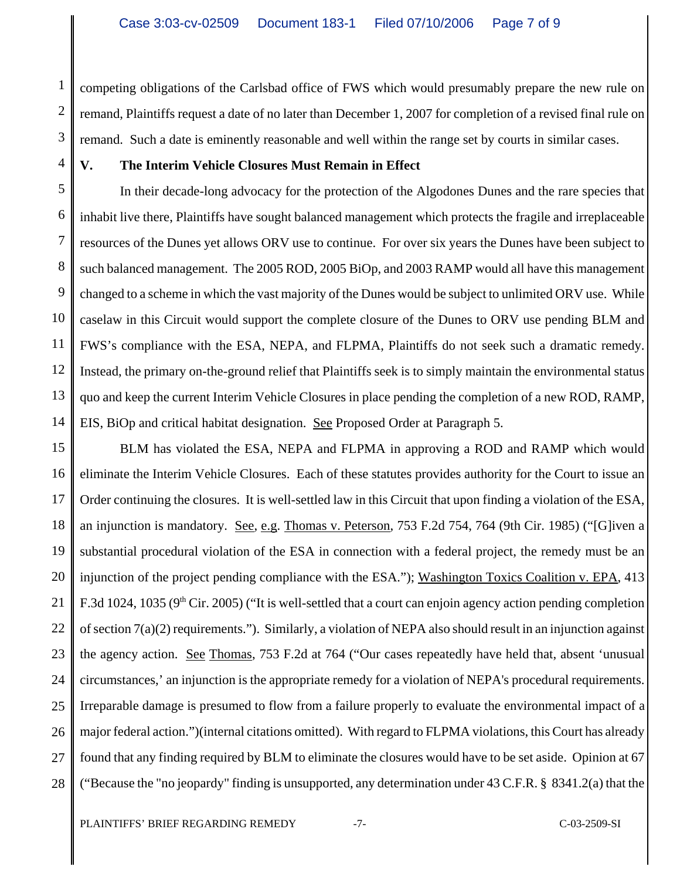1 2 3 competing obligations of the Carlsbad office of FWS which would presumably prepare the new rule on remand, Plaintiffs request a date of no later than December 1, 2007 for completion of a revised final rule on remand. Such a date is eminently reasonable and well within the range set by courts in similar cases.

4

# **V. The Interim Vehicle Closures Must Remain in Effect**

5 6 7 8 9 10 11 12 13 14 In their decade-long advocacy for the protection of the Algodones Dunes and the rare species that inhabit live there, Plaintiffs have sought balanced management which protects the fragile and irreplaceable resources of the Dunes yet allows ORV use to continue. For over six years the Dunes have been subject to such balanced management. The 2005 ROD, 2005 BiOp, and 2003 RAMP would all have this management changed to a scheme in which the vast majority of the Dunes would be subject to unlimited ORV use. While caselaw in this Circuit would support the complete closure of the Dunes to ORV use pending BLM and FWS's compliance with the ESA, NEPA, and FLPMA, Plaintiffs do not seek such a dramatic remedy. Instead, the primary on-the-ground relief that Plaintiffs seek is to simply maintain the environmental status quo and keep the current Interim Vehicle Closures in place pending the completion of a new ROD, RAMP, EIS, BiOp and critical habitat designation. See Proposed Order at Paragraph 5.

15 16 17 18 19 20 21 22 23 24 25 26 27 28 BLM has violated the ESA, NEPA and FLPMA in approving a ROD and RAMP which would eliminate the Interim Vehicle Closures. Each of these statutes provides authority for the Court to issue an Order continuing the closures. It is well-settled law in this Circuit that upon finding a violation of the ESA, an injunction is mandatory. See, e.g. Thomas v. Peterson, 753 F.2d 754, 764 (9th Cir. 1985) ("[G]iven a substantial procedural violation of the ESA in connection with a federal project, the remedy must be an injunction of the project pending compliance with the ESA."); Washington Toxics Coalition v. EPA, 413 F.3d 1024, 1035 (9<sup>th</sup> Cir. 2005) ("It is well-settled that a court can enjoin agency action pending completion of section 7(a)(2) requirements."). Similarly, a violation of NEPA also should result in an injunction against the agency action. See Thomas, 753 F.2d at 764 ("Our cases repeatedly have held that, absent 'unusual circumstances,' an injunction is the appropriate remedy for a violation of NEPA's procedural requirements. Irreparable damage is presumed to flow from a failure properly to evaluate the environmental impact of a major federal action.")(internal citations omitted). With regard to FLPMA violations, this Court has already found that any finding required by BLM to eliminate the closures would have to be set aside. Opinion at 67 ("Because the "no jeopardy" finding is unsupported, any determination under 43 C.F.R. § 8341.2(a) that the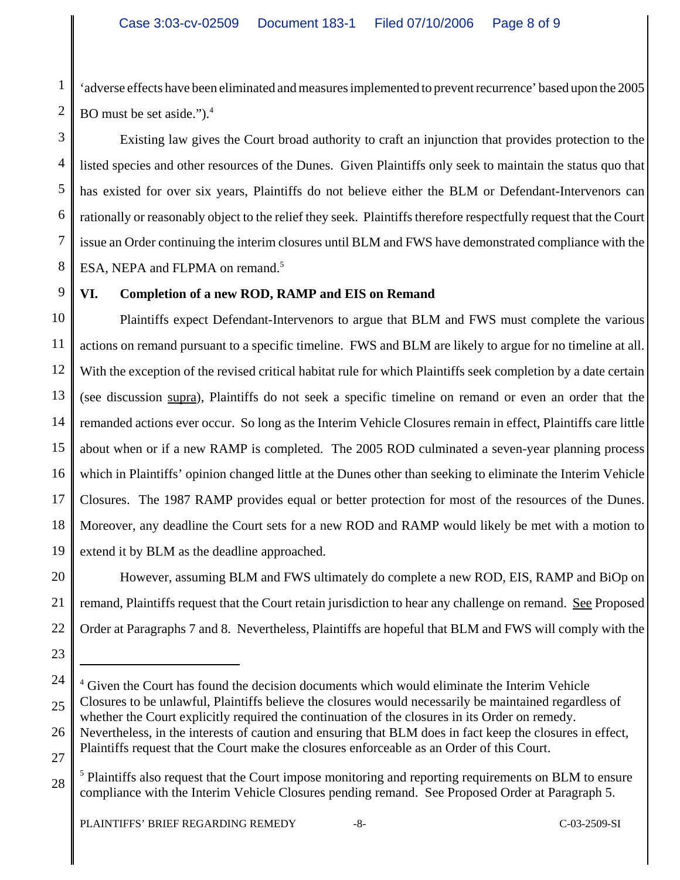1 2 'adverse effects have been eliminated and measures implemented to prevent recurrence' based upon the 2005 BO must be set aside.").<sup>4</sup>

3 4 5 6 7 8 Existing law gives the Court broad authority to craft an injunction that provides protection to the listed species and other resources of the Dunes. Given Plaintiffs only seek to maintain the status quo that has existed for over six years, Plaintiffs do not believe either the BLM or Defendant-Intervenors can rationally or reasonably object to the relief they seek. Plaintiffs therefore respectfully request that the Court issue an Order continuing the interim closures until BLM and FWS have demonstrated compliance with the ESA, NEPA and FLPMA on remand.<sup>5</sup>

# **VI. Completion of a new ROD, RAMP and EIS on Remand**

10 11 12 13 14 15 16 17 18 19 Plaintiffs expect Defendant-Intervenors to argue that BLM and FWS must complete the various actions on remand pursuant to a specific timeline. FWS and BLM are likely to argue for no timeline at all. With the exception of the revised critical habitat rule for which Plaintiffs seek completion by a date certain (see discussion supra), Plaintiffs do not seek a specific timeline on remand or even an order that the remanded actions ever occur. So long as the Interim Vehicle Closures remain in effect, Plaintiffs care little about when or if a new RAMP is completed. The 2005 ROD culminated a seven-year planning process which in Plaintiffs' opinion changed little at the Dunes other than seeking to eliminate the Interim Vehicle Closures. The 1987 RAMP provides equal or better protection for most of the resources of the Dunes. Moreover, any deadline the Court sets for a new ROD and RAMP would likely be met with a motion to extend it by BLM as the deadline approached.

20 21 22 However, assuming BLM and FWS ultimately do complete a new ROD, EIS, RAMP and BiOp on remand, Plaintiffs request that the Court retain jurisdiction to hear any challenge on remand. See Proposed Order at Paragraphs 7 and 8. Nevertheless, Plaintiffs are hopeful that BLM and FWS will comply with the

23

9

<sup>24</sup> 25 26 27 <sup>4</sup> Given the Court has found the decision documents which would eliminate the Interim Vehicle Closures to be unlawful, Plaintiffs believe the closures would necessarily be maintained regardless of whether the Court explicitly required the continuation of the closures in its Order on remedy. Nevertheless, in the interests of caution and ensuring that BLM does in fact keep the closures in effect, Plaintiffs request that the Court make the closures enforceable as an Order of this Court.

<sup>28</sup> <sup>5</sup> Plaintiffs also request that the Court impose monitoring and reporting requirements on BLM to ensure compliance with the Interim Vehicle Closures pending remand. See Proposed Order at Paragraph 5.